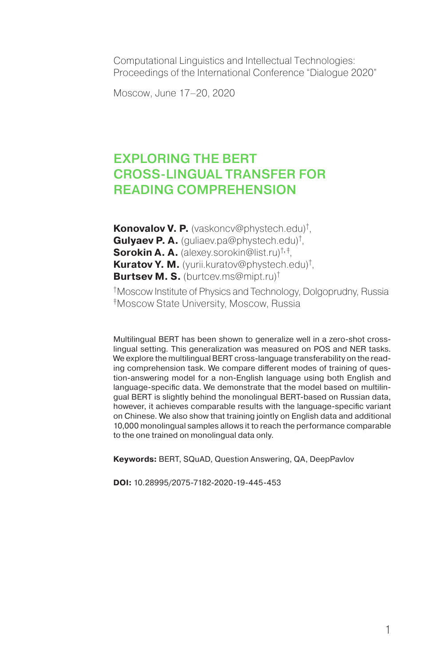Computational Linguistics and Intellectual Technologies: Proceedings of the International Conference "Dialogue 2020"

Moscow, June 17–20, 2020

# EXPLORING THE BERT CROSS‑LINGUAL TRANSFER FOR READING COMPREHENSION

**Konovalov V. P.** (vaskoncv@phystech.edu)† , **Gulyaev P. A.** (guliaev.pa@phystech.edu)† , **Sorokin A. A.** (alexey.sorokin@list.ru)†, ‡ , **Kuratov Y. M.** (yurii.kuratov@phystech.edu)† , **Burtsev M. S.** (burtcev.ms@mipt.ru)†

†Moscow Institute of Physics and Technology, Dolgoprudny, Russia ‡Moscow State University, Moscow, Russia

Multilingual BERT has been shown to generalize well in a zero-shot crosslingual setting. This generalization was measured on POS and NER tasks. We explore the multilingual BERT cross-language transferability on the reading comprehension task. We compare different modes of training of question-answering model for a non-English language using both English and language-specific data. We demonstrate that the model based on multilingual BERT is slightly behind the monolingual BERT-based on Russian data, however, it achieves comparable results with the language-specific variant on Chinese. We also show that training jointly on English data and additional 10,000 monolingual samples allows it to reach the performance comparable to the one trained on monolingual data only.

**Keywords:** BERT, SQuAD, Question Answering, QA, DeepPavlov

**DOI:** 10.28995/2075-7182-2020-19-445-453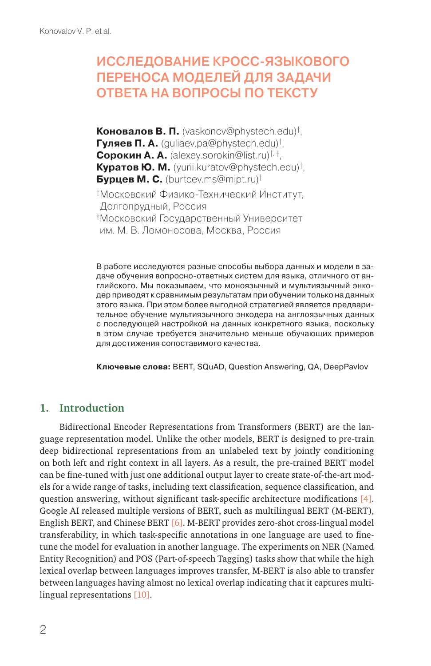# ИССЛЕДОВАНИЕ КРОСС-ЯЗЫКОВОГО ПЕРЕНОСА МОДЕЛЕЙ ДЛЯ ЗАДАЧИ ОТВЕТА НА ВОПРОСЫ ПО ТЕКСТУ

**Коновалов В. П.** (vaskoncv@phystech.edu)† , **Гуляев П. А.** (guliaev.pa@phystech.edu)† , **Сорокин А. А.** (alexey.sorokin@list.ru)†, ‡, **Куратов Ю. М.** (yurii.kuratov@phystech.edu)† , **Бурцев М. С.** (burtcev.ms@mipt.ru)† †Московский Физико-Технический Институт, Долгопрудный, Россия ‡Московский Государственный Университет им. М. В. Ломоносова, Москва, Россия

В работе исследуются разные способы выбора данных и модели в задаче обучения вопросно-ответных систем для языка, отличного от английского. Мы показываем, что моноязычный и мультиязычный энкодер приводят к сравнимым результатам при обучении только на данных этого языка. При этом более выгодной стратегией является предварительное обучение мультиязычного энкодера на англоязычных данных с последующей настройкой на данных конкретного языка, поскольку в этом случае требуется значительно меньше обучающих примеров для достижения сопоставимого качества.

**Ключевые слова:** BERT, SQuAD, Question Answering, QA, DeepPavlov

## **1. Introduction**

Bidirectional Encoder Representations from Transformers (BERT) are the language representation model. Unlike the other models, BERT is designed to pre-train deep bidirectional representations from an unlabeled text by jointly conditioning on both left and right context in all layers. As a result, the pre-trained BERT model can be fine-tuned with just one additional output layer to create state-of-the-art models for a wide range of tasks, including text classification, sequence classification, and question answering, without significant task-specific architecture modifications [4]. Google AI released multiple versions of BERT, such as multilingual BERT (M-BERT), English BERT, and Chinese BERT [6]. M-BERT provides zero-shot cross-lingual model transferability, in which task-specific annotations in one language are used to finetune the model for evaluation in another language. The experiments on NER (Named Entity Recognition) and POS (Part-of-speech Tagging) tasks show that while the high lexical overlap between languages improves transfer, M-BERT is also able to transfer between languages having almost no lexical overlap indicating that it captures multilingual representations [10].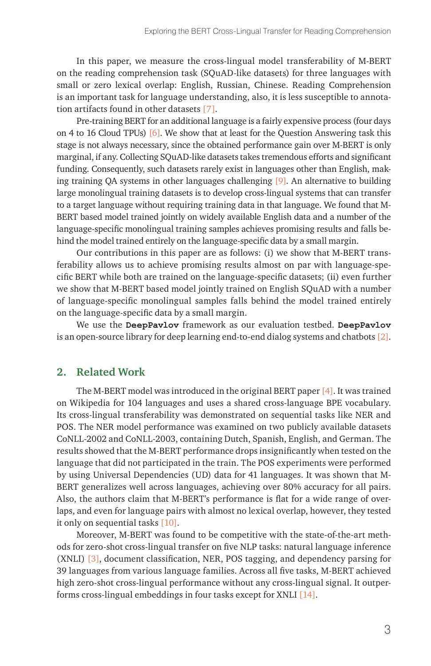In this paper, we measure the cross-lingual model transferability of M-BERT on the reading comprehension task (SQuAD-like datasets) for three languages with small or zero lexical overlap: English, Russian, Chinese. Reading Comprehension is an important task for language understanding, also, it is less susceptible to annotation artifacts found in other datasets [7].

Pre-training BERT for an additional language is a fairly expensive process (four days on 4 to 16 Cloud TPUs) [6]. We show that at least for the Question Answering task this stage is not always necessary, since the obtained performance gain over M-BERT is only marginal, if any. Collecting SQuAD-like datasets takes tremendous efforts and significant funding. Consequently, such datasets rarely exist in languages other than English, making training QA systems in other languages challenging [9]. An alternative to building large monolingual training datasets is to develop cross-lingual systems that can transfer to a target language without requiring training data in that language. We found that M-BERT based model trained jointly on widely available English data and a number of the language-specific monolingual training samples achieves promising results and falls behind the model trained entirely on the language-specific data by a small margin.

Our contributions in this paper are as follows: (i) we show that M-BERT transferability allows us to achieve promising results almost on par with language-specific BERT while both are trained on the language-specific datasets; (ii) even further we show that M-BERT based model jointly trained on English SQuAD with a number of language-specific monolingual samples falls behind the model trained entirely on the language-specific data by a small margin.

We use the **DeepPavlov** framework as our evaluation testbed. **DeepPavlov** is an open-source library for deep learning end-to-end dialog systems and chatbots [2].

## **2. Related Work**

The M-BERT model was introduced in the original BERT paper [4]. It was trained on Wikipedia for 104 languages and uses a shared cross-language BPE vocabulary. Its cross-lingual transferability was demonstrated on sequential tasks like NER and POS. The NER model performance was examined on two publicly available datasets CoNLL-2002 and CoNLL-2003, containing Dutch, Spanish, English, and German. The results showed that the M-BERT performance drops insignificantly when tested on the language that did not participated in the train. The POS experiments were performed by using Universal Dependencies (UD) data for 41 languages. It was shown that M-BERT generalizes well across languages, achieving over 80% accuracy for all pairs. Also, the authors claim that M-BERT's performance is flat for a wide range of overlaps, and even for language pairs with almost no lexical overlap, however, they tested it only on sequential tasks [10].

Moreover, M-BERT was found to be competitive with the state-of-the-art methods for zero-shot cross-lingual transfer on five NLP tasks: natural language inference (XNLI) [3], document classification, NER, POS tagging, and dependency parsing for 39 languages from various language families. Across all five tasks, M-BERT achieved high zero-shot cross-lingual performance without any cross-lingual signal. It outperforms cross-lingual embeddings in four tasks except for XNLI [14].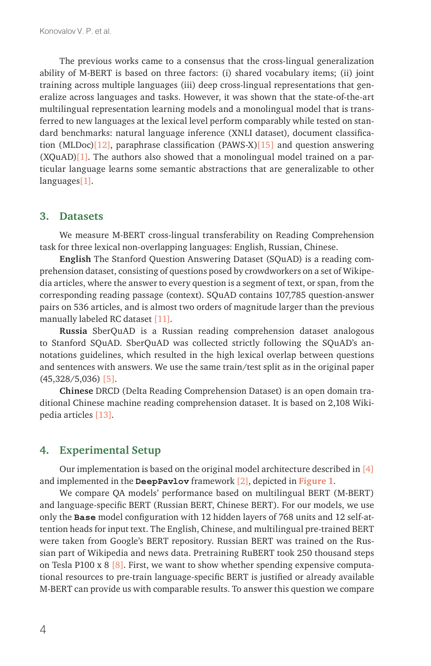The previous works came to a consensus that the cross-lingual generalization ability of M-BERT is based on three factors: (i) shared vocabulary items; (ii) joint training across multiple languages (iii) deep cross-lingual representations that generalize across languages and tasks. However, it was shown that the state-of-the-art multilingual representation learning models and a monolingual model that is transferred to new languages at the lexical level perform comparably while tested on standard benchmarks: natural language inference (XNLI dataset), document classification (MLDoc)[12], paraphrase classification (PAWS-X)[15] and question answering  $(XQuAD)$ [1]. The authors also showed that a monolingual model trained on a particular language learns some semantic abstractions that are generalizable to other languages[1].

#### **3. Datasets**

We measure M-BERT cross-lingual transferability on Reading Comprehension task for three lexical non-overlapping languages: English, Russian, Chinese.

**English** The Stanford Question Answering Dataset (SQuAD) is a reading comprehension dataset, consisting of questions posed by crowdworkers on a set of Wikipedia articles, where the answer to every question is a segment of text, or span, from the corresponding reading passage (context). SQuAD contains 107,785 question-answer pairs on 536 articles, and is almost two orders of magnitude larger than the previous manually labeled RC dataset [11].

**Russia** SberQuAD is a Russian reading comprehension dataset analogous to Stanford SQuAD. SberQuAD was collected strictly following the SQuAD's annotations guidelines, which resulted in the high lexical overlap between questions and sentences with answers. We use the same train/test split as in the original paper (45,328/5,036) [5].

**Chinese** DRCD (Delta Reading Comprehension Dataset) is an open domain traditional Chinese machine reading comprehension dataset. It is based on 2,108 Wikipedia articles [13].

### **4. Experimental Setup**

Our implementation is based on the original model architecture described in [4] and implemented in the **DeepPavlov** framework [2], depicted in **Figure 1**.

We compare QA models' performance based on multilingual BERT (M-BERT) and language-specific BERT (Russian BERT, Chinese BERT). For our models, we use only the **Base** model configuration with 12 hidden layers of 768 units and 12 self-attention heads for input text. The English, Chinese, and multilingual pre-trained BERT were taken from Google's BERT repository. Russian BERT was trained on the Russian part of Wikipedia and news data. Pretraining RuBERT took 250 thousand steps on Tesla P100 x 8  $[8]$ . First, we want to show whether spending expensive computational resources to pre-train language-specific BERT is justified or already available M-BERT can provide us with comparable results. To answer this question we compare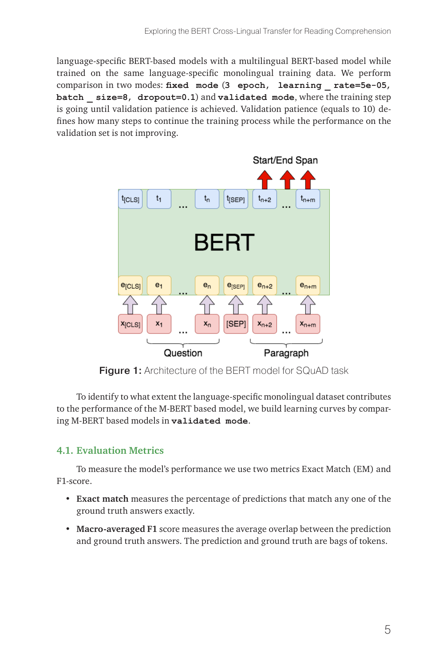language-specific BERT-based models with a multilingual BERT-based model while trained on the same language-specific monolingual training data. We perform comparison in two modes: **fixed mode** (**3 epoch, learning \_ rate=5e-05, batch \_ size=8, dropout=0.1**) and **validated mode**, where the training step is going until validation patience is achieved. Validation patience (equals to 10) defines how many steps to continue the training process while the performance on the validation set is not improving.



**Figure 1:** Architecture of the BERT model for SQuAD task

To identify to what extent the language-specific monolingual dataset contributes to the performance of the M-BERT based model, we build learning curves by comparing M-BERT based models in **validated mode**.

### **4.1. Evaluation Metrics**

To measure the model's performance we use two metrics Exact Match (EM) and F1-score.

- **Exact match** measures the percentage of predictions that match any one of the ground truth answers exactly.
- **Macro-averaged F1** score measures the average overlap between the prediction and ground truth answers. The prediction and ground truth are bags of tokens.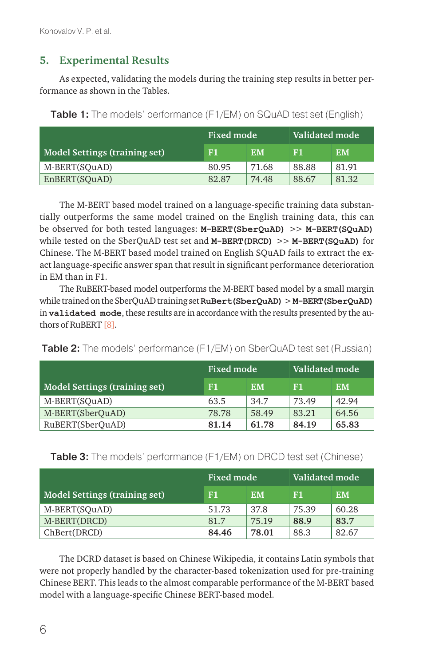## **5. Experimental Results**

As expected, validating the models during the training step results in better performance as shown in the Tables.

|                                      | <b>Fixed mode</b> |       | Validated mode |       |
|--------------------------------------|-------------------|-------|----------------|-------|
| <b>Model Settings (training set)</b> | F1                | ЕM    | F1             | EМ    |
| M-BERT(SOuAD)                        | 80.95             | 71.68 | 88.88          | 81.91 |
| EnBERT(SOuAD)                        | 82.87             | 74.48 | 88.67          | 81.32 |

Table 1: The models' performance (F1/EM) on SQuAD test set (English)

The M-BERT based model trained on a language-specific training data substantially outperforms the same model trained on the English training data, this can be observed for both tested languages: **M-BERT(SberQuAD)** >> **M-BERT(SQuAD)** while tested on the SberQuAD test set and **M-BERT(DRCD)** >> **M-BERT(SQuAD)** for Chinese. The M-BERT based model trained on English SQuAD fails to extract the exact language-specific answer span that result in significant performance deterioration in EM than in F1.

The RuBERT-based model outperforms the M-BERT based model by a small margin while trained on the SberQuAD training set **RuBert(SberQuAD)** > **M-BERT(SberQuAD)** in **validated mode**, these results are in accordance with the results presented by the authors of RuBERT [8].

| <b>Table 2:</b> The models' performance (F1/EM) on SberQuAD test set (Russian) |  |  |  |  |
|--------------------------------------------------------------------------------|--|--|--|--|
|--------------------------------------------------------------------------------|--|--|--|--|

|                               | <b>Fixed mode</b> |           | Validated mode <b>'</b> |           |
|-------------------------------|-------------------|-----------|-------------------------|-----------|
| Model Settings (training set) | F1                | <b>EM</b> | F1                      | <b>EM</b> |
| M-BERT(SOuAD)                 | 63.5              | 34.7      | 73.49                   | 42.94     |
| M-BERT(SberQuAD)              | 78.78             | 58.49     | 83.21                   | 64.56     |
| RuBERT(SberOuAD)              | 81.14             | 61.78     | 84.19                   | 65.83     |

Table 3: The models' performance (F1/EM) on DRCD test set (Chinese)

|                               | Fixed mode |           | Validated mode |           |
|-------------------------------|------------|-----------|----------------|-----------|
| Model Settings (training set) | F1         | <b>EM</b> | F1             | <b>EM</b> |
| M-BERT(SQuAD)                 | 51.73      | 37.8      | 75.39          | 60.28     |
| M-BERT(DRCD)                  | 81.7       | 75.19     | 88.9           | 83.7      |
| ChBert(DRCD)                  | 84.46      | 78.01     | 88.3           | 82.67     |

The DCRD dataset is based on Chinese Wikipedia, it contains Latin symbols that were not properly handled by the character-based tokenization used for pre-training Chinese BERT. This leads to the almost comparable performance of the M-BERT based model with a language-specific Chinese BERT-based model.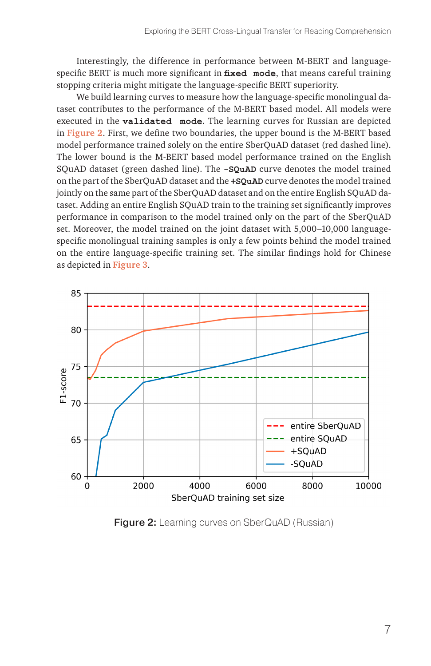Interestingly, the difference in performance between M-BERT and languagespecific BERT is much more significant in **fixed mode**, that means careful training stopping criteria might mitigate the language-specific BERT superiority.

We build learning curves to measure how the language-specific monolingual dataset contributes to the performance of the M-BERT based model. All models were executed in the **validated mode**. The learning curves for Russian are depicted in **Figure 2**. First, we define two boundaries, the upper bound is the M-BERT based model performance trained solely on the entire SberQuAD dataset (red dashed line). The lower bound is the M-BERT based model performance trained on the English SQuAD dataset (green dashed line). The **-SQuAD** curve denotes the model trained on the part of the SberQuAD dataset and the **+SQuAD** curve denotes the model trained jointly on the same part of the SberQuAD dataset and on the entire English SQuAD dataset. Adding an entire English SQuAD train to the training set significantly improves performance in comparison to the model trained only on the part of the SberQuAD set. Moreover, the model trained on the joint dataset with 5,000–10,000 languagespecific monolingual training samples is only a few points behind the model trained on the entire language-specific training set. The similar findings hold for Chinese as depicted in **Figure 3**.



**Figure 2:** Learning curves on SberQuAD (Russian)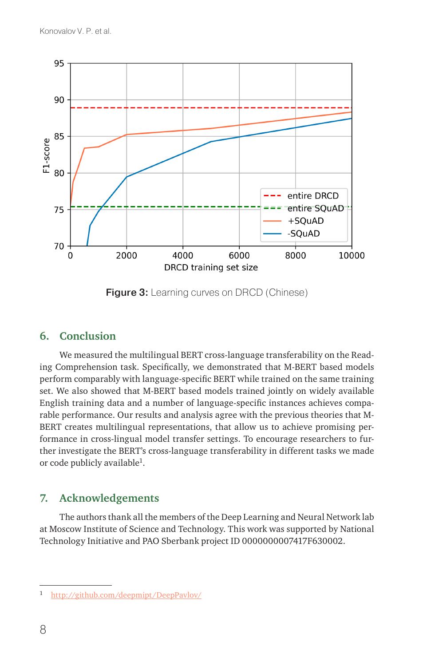

**Figure 3:** Learning curves on DRCD (Chinese)

## **6. Conclusion**

We measured the multilingual BERT cross-language transferability on the Reading Comprehension task. Specifically, we demonstrated that M-BERT based models perform comparably with language-specific BERT while trained on the same training set. We also showed that M-BERT based models trained jointly on widely available English training data and a number of language-specific instances achieves comparable performance. Our results and analysis agree with the previous theories that M-BERT creates multilingual representations, that allow us to achieve promising performance in cross-lingual model transfer settings. To encourage researchers to further investigate the BERT's cross-language transferability in different tasks we made or code publicly available<sup>1</sup>.

## **7. Acknowledgements**

The authors thank all the members of the Deep Learning and Neural Network lab at Moscow Institute of Science and Technology. This work was supported by National Technology Initiative and PAO Sberbank project ID 0000000007417F630002.

<sup>1</sup> <http://github.com/deepmipt/DeepPavlov/>